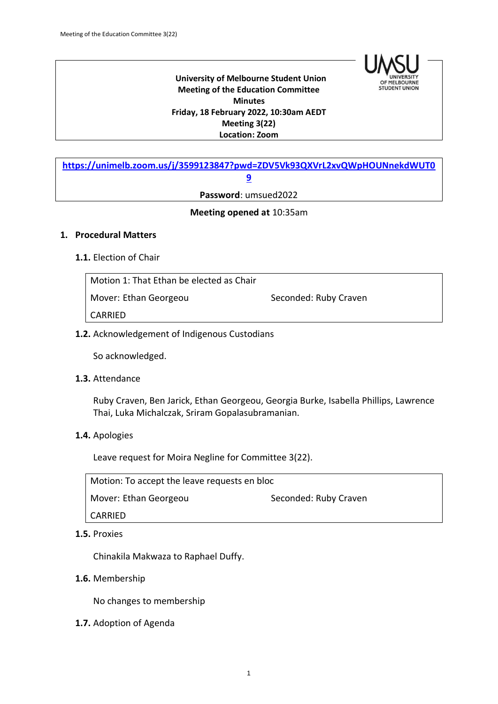

#### **University of Melbourne Student Union Meeting of the Education Committee Minutes Friday, 18 February 2022, 10:30am AEDT Meeting 3(22) Location: Zoom**

**[https://unimelb.zoom.us/j/3599123847?pwd=ZDV5Vk93QXVrL2xvQWpHOUNnekdWUT0](https://unimelb.zoom.us/j/3599123847?pwd=ZDV5Vk93QXVrL2xvQWpHOUNnekdWUT09) [9](https://unimelb.zoom.us/j/3599123847?pwd=ZDV5Vk93QXVrL2xvQWpHOUNnekdWUT09)**

**Password**: umsued2022

### **Meeting opened at** 10:35am

#### **1. Procedural Matters**

### **1.1.** Election of Chair

Motion 1: That Ethan be elected as Chair Mover: Ethan Georgeou Seconded: Ruby Craven CARRIED

### **1.2.** Acknowledgement of Indigenous Custodians

So acknowledged.

### **1.3.** Attendance

Ruby Craven, Ben Jarick, Ethan Georgeou, Georgia Burke, Isabella Phillips, Lawrence Thai, Luka Michalczak, Sriram Gopalasubramanian.

### **1.4.** Apologies

Leave request for Moira Negline for Committee 3(22).

Motion: To accept the leave requests en bloc Mover: Ethan Georgeou Seconded: Ruby Craven CARRIED

# **1.5.** Proxies

Chinakila Makwaza to Raphael Duffy.

### **1.6.** Membership

No changes to membership

**1.7.** Adoption of Agenda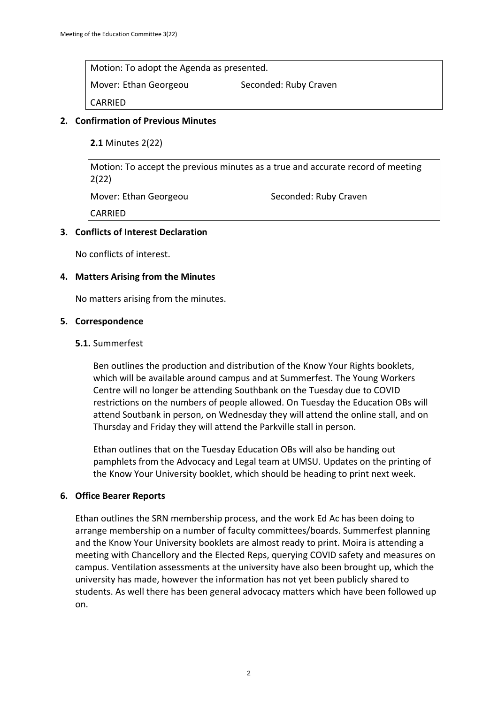Motion: To adopt the Agenda as presented.

Mover: Ethan Georgeou Seconded: Ruby Craven

CARRIED

# **2. Confirmation of Previous Minutes**

**2.1** Minutes 2(22)

Motion: To accept the previous minutes as a true and accurate record of meeting 2(22) Mover: Ethan Georgeou Seconded: Ruby Craven CARRIED

# **3. Conflicts of Interest Declaration**

No conflicts of interest.

# **4. Matters Arising from the Minutes**

No matters arising from the minutes.

### **5. Correspondence**

# **5.1.** Summerfest

Ben outlines the production and distribution of the Know Your Rights booklets, which will be available around campus and at Summerfest. The Young Workers Centre will no longer be attending Southbank on the Tuesday due to COVID restrictions on the numbers of people allowed. On Tuesday the Education OBs will attend Soutbank in person, on Wednesday they will attend the online stall, and on Thursday and Friday they will attend the Parkville stall in person.

Ethan outlines that on the Tuesday Education OBs will also be handing out pamphlets from the Advocacy and Legal team at UMSU. Updates on the printing of the Know Your University booklet, which should be heading to print next week.

### **6. Office Bearer Reports**

Ethan outlines the SRN membership process, and the work Ed Ac has been doing to arrange membership on a number of faculty committees/boards. Summerfest planning and the Know Your University booklets are almost ready to print. Moira is attending a meeting with Chancellory and the Elected Reps, querying COVID safety and measures on campus. Ventilation assessments at the university have also been brought up, which the university has made, however the information has not yet been publicly shared to students. As well there has been general advocacy matters which have been followed up on.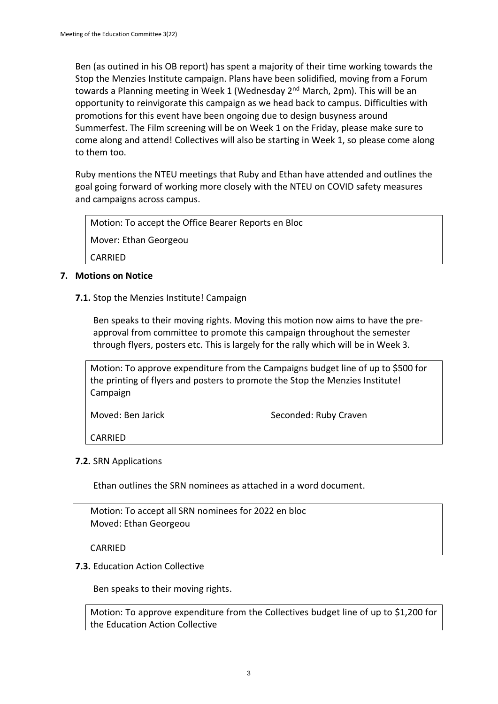Ben (as outined in his OB report) has spent a majority of their time working towards the Stop the Menzies Institute campaign. Plans have been solidified, moving from a Forum towards a Planning meeting in Week 1 (Wednesday 2<sup>nd</sup> March, 2pm). This will be an opportunity to reinvigorate this campaign as we head back to campus. Difficulties with promotions for this event have been ongoing due to design busyness around Summerfest. The Film screening will be on Week 1 on the Friday, please make sure to come along and attend! Collectives will also be starting in Week 1, so please come along to them too.

Ruby mentions the NTEU meetings that Ruby and Ethan have attended and outlines the goal going forward of working more closely with the NTEU on COVID safety measures and campaigns across campus.

Motion: To accept the Office Bearer Reports en Bloc Mover: Ethan Georgeou CARRIED

# **7. Motions on Notice**

**7.1.** Stop the Menzies Institute! Campaign

Ben speaks to their moving rights. Moving this motion now aims to have the preapproval from committee to promote this campaign throughout the semester through flyers, posters etc. This is largely for the rally which will be in Week 3.

Motion: To approve expenditure from the Campaigns budget line of up to \$500 for the printing of flyers and posters to promote the Stop the Menzies Institute! Campaign

Moved: Ben Jarick Seconded: Ruby Craven

CARRIED

### **7.2.** SRN Applications

Ethan outlines the SRN nominees as attached in a word document.

Motion: To accept all SRN nominees for 2022 en bloc Moved: Ethan Georgeou

CARRIED

### **7.3.** Education Action Collective

Ben speaks to their moving rights.

Motion: To approve expenditure from the Collectives budget line of up to \$1,200 for the Education Action Collective